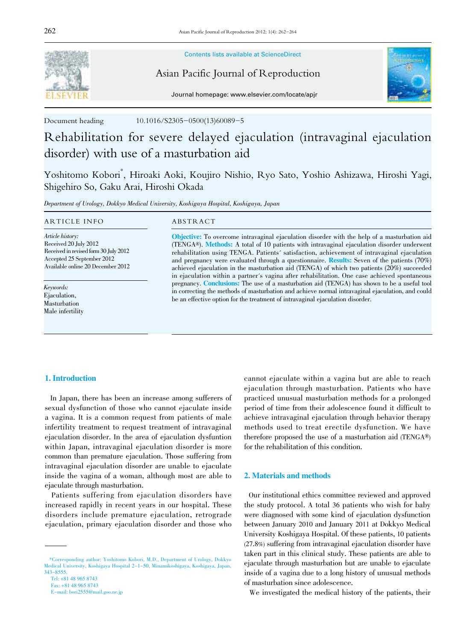

Contents lists available at ScienceDirect

Asian Pacific Journal of Reproduction



Journal homepage: www.elsevier.com/locate/apjr

Document heading 10.1016/S2305-0500(13)60089-5

# Rehabilitation for severe delayed ejaculation (intravaginal ejaculation disorder) with use of a masturbation aid

Yoshitomo Kobori\* , Hiroaki Aoki, Koujiro Nishio, Ryo Sato, Yoshio Ashizawa, Hiroshi Yagi, Shigehiro So, Gaku Arai, Hiroshi Okada

Department of Urology, Dokkyo Medical University, Koshigaya Hospital, Koshigaya, Japan

#### ARTICLE INFO ABSTRACT

Article history: Received 20 July 2012 Received in revised form 30 July 2012 Accepted 25 September 2012 Available online 20 December 2012

Keywords: Ejaculation, Masturbation Male infertility

Objective: To overcome intravaginal ejaculation disorder with the help of a masturbation aid (TENGA®). Methods: A total of 10 patients with intravaginal ejaculation disorder underwent rehabilitation using TENGA. Patients' satisfaction, achievement of intravaginal ejaculation and pregnancy were evaluated through a questionnaire. Results: Seven of the patients (70%) achieved ejaculation in the masturbation aid (TENGA) of which two patients (20%) succeeded in ejaculation within a partner's vagina after rehabilitation. One case achieved spontaneous pregnancy. Conclusions: The use of a masturbation aid (TENGA) has shown to be a useful tool in correcting the methods of masturbation and achieve normal intravaginal ejaculation, and could be an effective option for the treatment of intravaginal ejaculation disorder.

## 1. Introduction

 In Japan, there has been an increase among sufferers of sexual dysfunction of those who cannot ejaculate inside a vagina. It is a common request from patients of male infertility treatment to request treatment of intravaginal ejaculation disorder. In the area of ejaculation dysfuntion within Japan, intravaginal ejaculation disorder is more common than premature ejaculation. Those suffering from intravaginal ejaculation disorder are unable to ejaculate inside the vagina of a woman, although most are able to ejaculate through masturbation.

 Patients suffering from ejaculation disorders have increased rapidly in recent years in our hospital. These disorders include premature ejaculation, retrograde ejaculation, primary ejaculation disorder and those who

cannot ejaculate within a vagina but are able to reach ejaculation through masturbation. Patients who have practiced unusual masturbation methods for a prolonged period of time from their adolescence found it difficult to achieve intravaginal ejaculation through behavior therapy methods used to treat erectile dysfunction. We have therefore proposed the use of a masturbation aid (TENGA®) for the rehabilitation of this condition.

### 2. Materials and methods

 Our institutional ethics committee reviewed and approved the study protocol. A total 36 patients who wish for baby were diagnosed with some kind of ejaculation dysfunction between January 2010 and January 2011 at Dokkyo Medical University Koshigaya Hospital. Of these patients, 10 patients (27.8%) suffering from intravaginal ejaculation disorder have taken part in this clinical study. These patients are able to ejaculate through masturbation but are unable to ejaculate inside of a vagina due to a long history of unusual methods of masturbation since adolescence.

We investigated the medical history of the patients, their

 <sup>\*</sup>Corresponding author: Yoshitomo Kobori, M.D., Department of Urology, Dokkyo Medical University, Koshigaya Hospital 2-1-50, Minamikoshigaya, Koshigaya, Japan, 343-8555.

Tel: +81 48 965 8743 Fax: +81 48 965 8743

E-mail: bori2555@mail.goo.ne.jp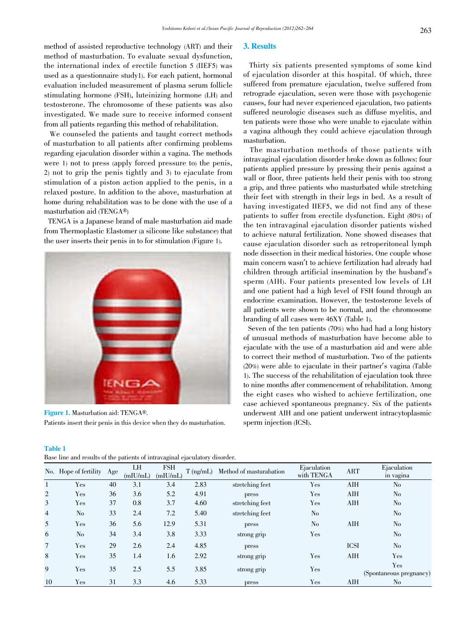method of assisted reproductive technology (ART) and their method of masturbation. To evaluate sexual dysfunction, the international index of erectile function 5 (IIEF5) was used as a questionnaire study1). For each patient, hormonal evaluation included measurement of plasma serum follicle stimulating hormone (FSH), luteinizing hormone (LH) and testosterone. The chromosome of these patients was also investigated. We made sure to receive informed consent from all patients regarding this method of rehabilitation.

 We counseled the patients and taught correct methods of masturbation to all patients after confirming problems regarding ejaculation disorder within a vagina. The methods were 1) not to press (apply forced pressure to) the penis, 2) not to grip the penis tightly and 3) to ejaculate from stimulation of a piston action applied to the penis, in a relaxed posture. In addition to the above, masturbation at home during rehabilitation was to be done with the use of a masturbation aid (TENGA®)

 TENGA is a Japanese brand of male masturbation aid made from Thermoplastic Elastomer (a silicone like substance) that the user inserts their penis in to for stimulation (Figure 1).



Figure 1. Masturbation aid: TENGA®. Patients insert their penis in this device when they do masturbation.

Table 1

| --------                                                                    |  |  |
|-----------------------------------------------------------------------------|--|--|
| Base line and results of the patients of intravaginal ejaculatory disorder. |  |  |

### 3. Results

 Thirty six patients presented symptoms of some kind of ejaculation disorder at this hospital. Of which, three suffered from premature ejaculation, twelve suffered from retrograde ejaculation, seven were those with psychogenic causes, four had never experienced ejaculation, two patients suffered neurologic diseases such as diffuse myelitis, and ten patients were those who were unable to ejaculate within a vagina although they could achieve ejaculation through masturbation.

 The masturbation methods of those patients with intravaginal ejaculation disorder broke down as follows: four patients applied pressure by pressing their penis against a wall or floor, three patients held their penis with too strong a grip, and three patients who masturbated while stretching their feet with strength in their legs in bed. As a result of having investigated IIEF5, we did not find any of these patients to suffer from erectile dysfunction. Eight (80%) of the ten intravaginal ejaculation disorder patients wished to achieve natural fertilization. None showed diseases that cause ejaculation disorder such as retroperitoneal lymph node dissection in their medical histories. One couple whose main concern wasn't to achieve fertilization had already had children through artificial insemination by the husband's sperm (AIH). Four patients presented low levels of LH and one patient had a high level of FSH found through an endocrine examination. However, the testosterone levels of all patients were shown to be normal, and the chromosome branding of all cases were 46XY (Table 1).

 Seven of the ten patients (70%) who had had a long history of unusual methods of masturbation have become able to ejaculate with the use of a masturbation aid and were able to correct their method of masturbation. Two of the patients (20%) were able to ejaculate in their partner's vagina (Table 1). The success of the rehabilitation of ejaculation took three to nine months after commencement of rehabilitation. Among the eight cases who wished to achieve fertilization, one case achieved spontaneous pregnancy. Six of the patients underwent AIH and one patient underwent intracytoplasmic sperm injection (ICSI).

|                | No. Hope of fertility | Age | LH<br>(mIU/mL) | <b>FSH</b><br>(mIU/mL) | $T$ (ng/mL) | Method of masturabation | Ejaculation<br>with TENGA | <b>ART</b>  | Ejaculation<br>in vagina |  |
|----------------|-----------------------|-----|----------------|------------------------|-------------|-------------------------|---------------------------|-------------|--------------------------|--|
|                | Yes                   | 40  | 3.1            | 3.4                    | 2.83        | stretching feet         | Yes                       | AIH         | N <sub>o</sub>           |  |
| 2              | Yes                   | 36  | 3.6            | 5.2                    | 4.91        | press                   | Yes                       | AIH         | N <sub>o</sub>           |  |
| 3              | Yes                   | 37  | 0.8            | 3.7                    | 4.60        | stretching feet         | $\gamma_{\rm es}$         | <b>AIH</b>  | N <sub>o</sub>           |  |
| $\overline{4}$ | N <sub>o</sub>        | 33  | 2.4            | 7.2                    | 5.40        | stretching feet         | No                        |             | N <sub>o</sub>           |  |
| 5              | Yes                   | 36  | 5.6            | 12.9                   | 5.31        | press                   | N <sub>o</sub>            | AIH         | N <sub>o</sub>           |  |
| 6              | N <sub>o</sub>        | 34  | 3.4            | 3.8                    | 3.33        | strong grip             | Yes                       |             | N <sub>o</sub>           |  |
| $\overline{7}$ | Yes                   | 29  | 2.6            | 2.4                    | 4.85        | press                   |                           | <b>ICSI</b> | N <sub>o</sub>           |  |
| 8              | Yes                   | 35  | 1.4            | 1.6                    | 2.92        | strong grip             | Yes                       | <b>AIH</b>  | Yes                      |  |
| 9              | Yes                   | 35  | 2.5            | 5.5                    | 3.85        | strong grip             | $\gamma_{\rm es}$         |             | Yes                      |  |
|                |                       |     |                |                        |             |                         |                           |             | (Spontaneous pregnancy)  |  |
| 10             | Yes                   | 31  | 3.3            | 4.6                    | 5.33        | press                   | Yes                       | AIH         | No                       |  |